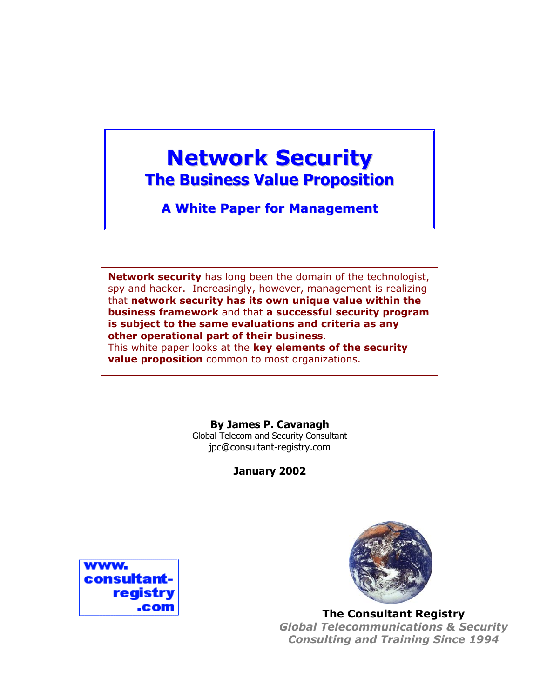# **Network Security The Business Value Proposition**

**A White Paper for Management**

**Network security** has long been the domain of the technologist, spy and hacker. Increasingly, however, management is realizing that **network security has its own unique value within the business framework** and that **a successful security program is subject to the same evaluations and criteria as any other operational part of their business**.

This white paper looks at the **key elements of the security value proposition** common to most organizations.

> **By James P. Cavanagh** Global Telecom and Security Consultant jpc@consultant-registry.com

> > **January 2002**



**The Consultant Registry** *Global Telecommunications & Security Consulting and Training Since 1994*

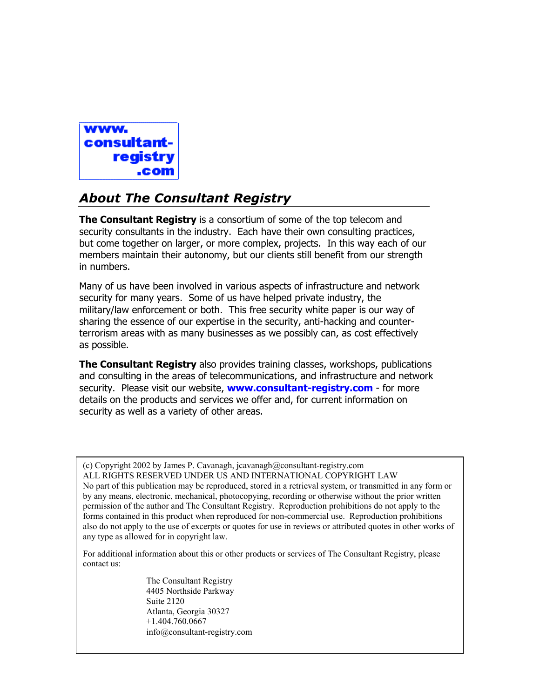

# *About The Consultant Registry*

**The Consultant Registry** is a consortium of some of the top telecom and security consultants in the industry. Each have their own consulting practices, but come together on larger, or more complex, projects. In this way each of our members maintain their autonomy, but our clients still benefit from our strength in numbers.

Many of us have been involved in various aspects of infrastructure and network security for many years. Some of us have helped private industry, the military/law enforcement or both. This free security white paper is our way of sharing the essence of our expertise in the security, anti-hacking and counterterrorism areas with as many businesses as we possibly can, as cost effectively as possible.

**The Consultant Registry** also provides training classes, workshops, publications and consulting in the areas of telecommunications, and infrastructure and network security. Please visit our website, **www.consultant-registry.com** - for more details on the products and services we offer and, for current information on security as well as a variety of other areas.

(c) Copyright 2002 by James P. Cavanagh, jcavanagh@consultant-registry.com ALL RIGHTS RESERVED UNDER US AND INTERNATIONAL COPYRIGHT LAW No part of this publication may be reproduced, stored in a retrieval system, or transmitted in any form or by any means, electronic, mechanical, photocopying, recording or otherwise without the prior written permission of the author and The Consultant Registry. Reproduction prohibitions do not apply to the forms contained in this product when reproduced for non-commercial use. Reproduction prohibitions also do not apply to the use of excerpts or quotes for use in reviews or attributed quotes in other works of any type as allowed for in copyright law.

For additional information about this or other products or services of The Consultant Registry, please contact us:

> The Consultant Registry 4405 Northside Parkway Suite 2120 Atlanta, Georgia 30327 +1.404.760.0667 info@consultant-registry.com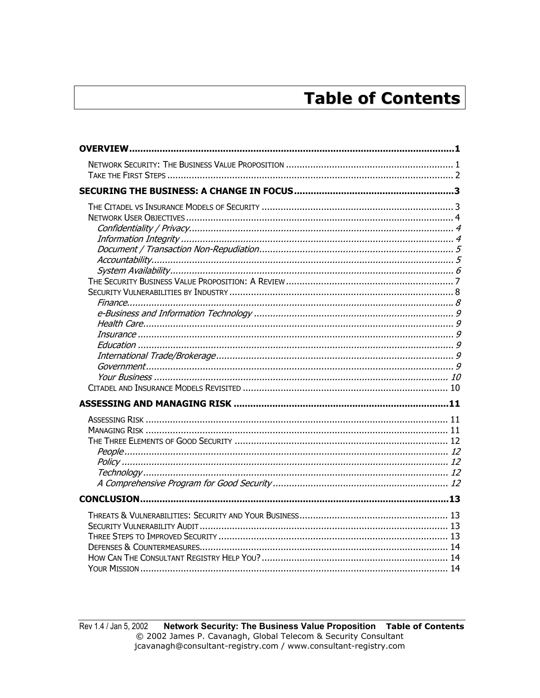# **Table of Contents**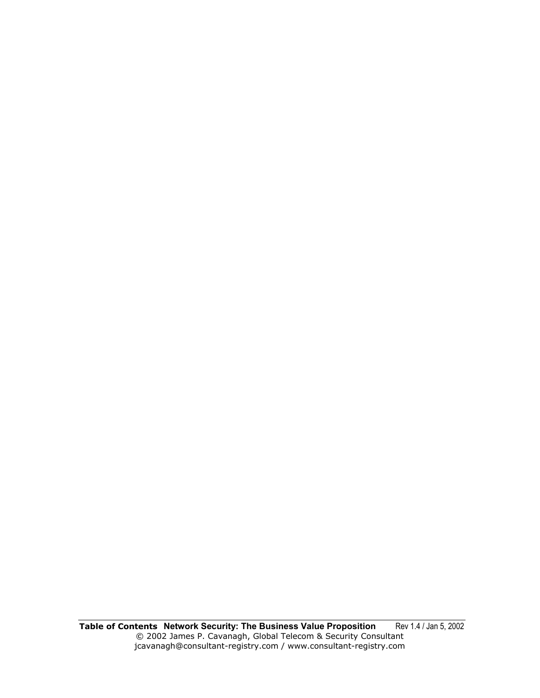**Table of Contents Network Security: The Business Value Proposition Frev 1.4 / Jan 5, 2002** © 2002 James P. Cavanagh, Global Telecom & Security Consultant jcavanagh@consultant-registry.com / www.consultant-registry.com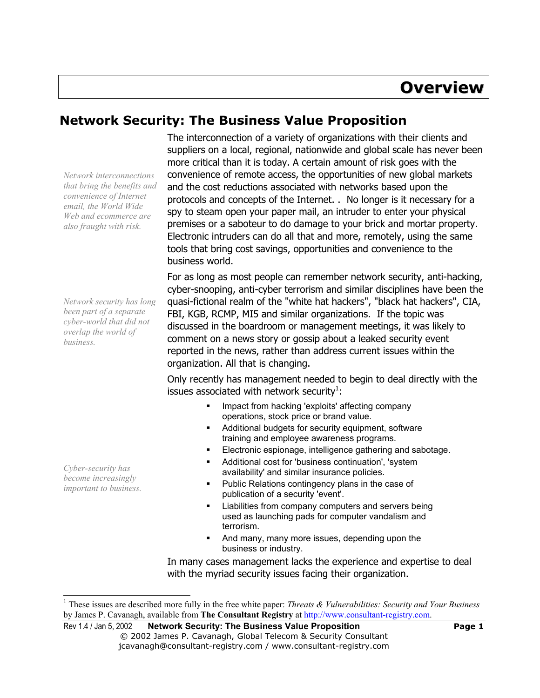# <span id="page-4-0"></span>**Overview**

# <span id="page-4-1"></span>**Network Security: The Business Value Proposition**

*Network interconnections that bring the benefits and convenience of Internet email, the World Wide Web and ecommerce are also fraught with risk.*

*Network security has long been part of a separate cyber-world that did not overlap the world of business.*

*Cyber-security has become increasingly important to business.*

 $\overline{a}$ 

The interconnection of a variety of organizations with their clients and suppliers on a local, regional, nationwide and global scale has never been more critical than it is today. A certain amount of risk goes with the convenience of remote access, the opportunities of new global markets and the cost reductions associated with networks based upon the protocols and concepts of the Internet. . No longer is it necessary for a spy to steam open your paper mail, an intruder to enter your physical premises or a saboteur to do damage to your brick and mortar property. Electronic intruders can do all that and more, remotely, using the same tools that bring cost savings, opportunities and convenience to the business world.

For as long as most people can remember network security, anti-hacking, cyber-snooping, anti-cyber terrorism and similar disciplines have been the quasi-fictional realm of the "white hat hackers", "black hat hackers", CIA, FBI, KGB, RCMP, MI5 and similar organizations. If the topic was discussed in the boardroom or management meetings, it was likely to comment on a news story or gossip about a leaked security event reported in the news, rather than address current issues within the organization. All that is changing.

Only recently has management needed to begin to deal directly with the issues associated with network security $^{1}$  $^{1}$  $^{1}$ :

- **IMPACT FROM HACKING 'EXPLOITS' affecting company** operations, stock price or brand value.
- **Additional budgets for security equipment, software** training and employee awareness programs.
- Electronic espionage, intelligence gathering and sabotage.
- Additional cost for 'business continuation', 'system availability' and similar insurance policies.
- Public Relations contingency plans in the case of publication of a security 'event'.
- **EXECUTE:** Liabilities from company computers and servers being used as launching pads for computer vandalism and terrorism.
- And many, many more issues, depending upon the business or industry.

In many cases management lacks the experience and expertise to deal with the myriad security issues facing their organization.

Rev 1.4 / Jan 5, 2002 **Network Security: The Business Value Proposition Page 1** © 2002 James P. Cavanagh, Global Telecom & Security Consultant jcavanagh@consultant-registry.com / www.consultant-registry.com

<span id="page-4-2"></span><sup>1</sup> These issues are described more fully in the free white paper: *Threats & Vulnerabilities: Security and Your Business* by James P. Cavanagh, available from **The Consultant Registry** at http://www.consultant-registry.com.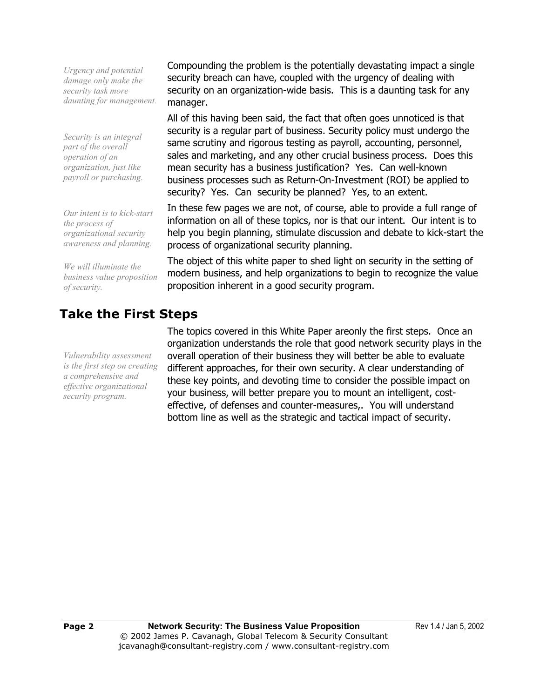*Urgency and potential damage only make the security task more daunting for management.*

*Security is an integral part of the overall operation of an organization, just like payroll or purchasing.* 

*Our intent is to kick-start the process of organizational security awareness and planning.*

*We will illuminate the business value proposition of security.*

<span id="page-5-0"></span>**Take the First Steps**

*Vulnerability assessment is the first step on creating a comprehensive and effective organizational security program.*

Compounding the problem is the potentially devastating impact a single security breach can have, coupled with the urgency of dealing with security on an organization-wide basis. This is a daunting task for any manager.

All of this having been said, the fact that often goes unnoticed is that security is a regular part of business. Security policy must undergo the same scrutiny and rigorous testing as payroll, accounting, personnel, sales and marketing, and any other crucial business process. Does this mean security has a business justification? Yes. Can well-known business processes such as Return-On-Investment (ROI) be applied to security? Yes. Can security be planned? Yes, to an extent.

In these few pages we are not, of course, able to provide a full range of information on all of these topics, nor is that our intent. Our intent is to help you begin planning, stimulate discussion and debate to kick-start the process of organizational security planning.

The object of this white paper to shed light on security in the setting of modern business, and help organizations to begin to recognize the value proposition inherent in a good security program.

The topics covered in this White Paper areonly the first steps. Once an organization understands the role that good network security plays in the overall operation of their business they will better be able to evaluate different approaches, for their own security. A clear understanding of these key points, and devoting time to consider the possible impact on your business, will better prepare you to mount an intelligent, costeffective, of defenses and counter-measures,. You will understand bottom line as well as the strategic and tactical impact of security.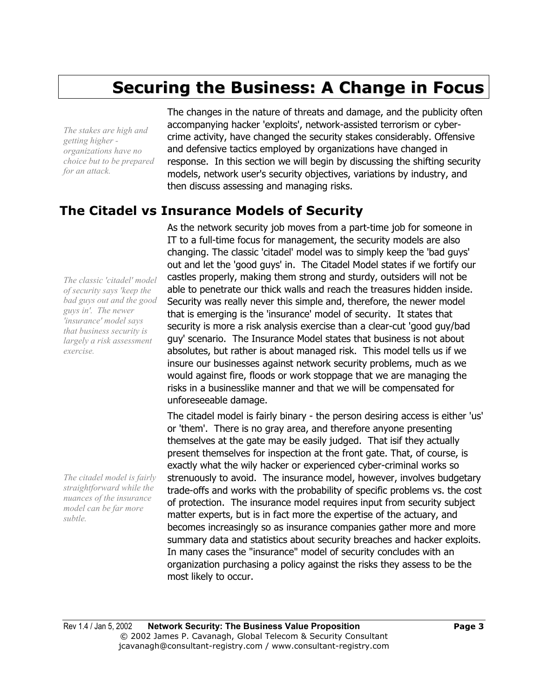# <span id="page-6-0"></span>**Securing the Business: A Change in Focus**

*The stakes are high and getting higher organizations have no choice but to be prepared for an attack.*

The changes in the nature of threats and damage, and the publicity often accompanying hacker 'exploits', network-assisted terrorism or cybercrime activity, have changed the security stakes considerably. Offensive and defensive tactics employed by organizations have changed in response. In this section we will begin by discussing the shifting security models, network user's security objectives, variations by industry, and then discuss assessing and managing risks.

## <span id="page-6-1"></span>**The Citadel vs Insurance Models of Security**

As the network security job moves from a part-time job for someone in IT to a full-time focus for management, the security models are also changing. The classic 'citadel' model was to simply keep the 'bad guys' out and let the 'good guys' in. The Citadel Model states if we fortify our castles properly, making them strong and sturdy, outsiders will not be able to penetrate our thick walls and reach the treasures hidden inside. Security was really never this simple and, therefore, the newer model that is emerging is the 'insurance' model of security. It states that security is more a risk analysis exercise than a clear-cut 'good guy/bad guy' scenario. The Insurance Model states that business is not about absolutes, but rather is about managed risk. This model tells us if we insure our businesses against network security problems, much as we would against fire, floods or work stoppage that we are managing the risks in a businesslike manner and that we will be compensated for unforeseeable damage.

The citadel model is fairly binary - the person desiring access is either 'us' or 'them'. There is no gray area, and therefore anyone presenting themselves at the gate may be easily judged. That isif they actually present themselves for inspection at the front gate. That, of course, is exactly what the wily hacker or experienced cyber-criminal works so strenuously to avoid. The insurance model, however, involves budgetary trade-offs and works with the probability of specific problems vs. the cost of protection. The insurance model requires input from security subject matter experts, but is in fact more the expertise of the actuary, and becomes increasingly so as insurance companies gather more and more summary data and statistics about security breaches and hacker exploits. In many cases the "insurance" model of security concludes with an organization purchasing a policy against the risks they assess to be the most likely to occur.

*The classic 'citadel' model of security says 'keep the bad guys out and the good guys in'. The newer 'insurance' model says that business security is largely a risk assessment exercise.*

*The citadel model is fairly straightforward while the nuances of the insurance model can be far more subtle.*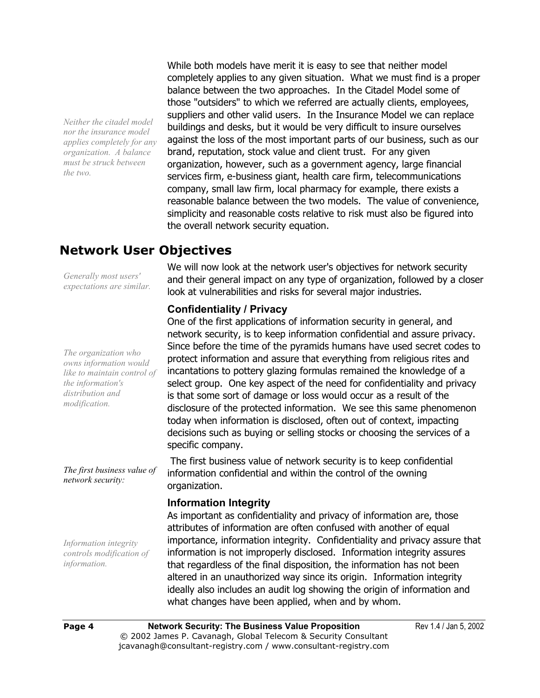*Neither the citadel model nor the insurance model applies completely for any organization. A balance must be struck between the two.*

While both models have merit it is easy to see that neither model completely applies to any given situation. What we must find is a proper balance between the two approaches. In the Citadel Model some of those "outsiders" to which we referred are actually clients, employees, suppliers and other valid users. In the Insurance Model we can replace buildings and desks, but it would be very difficult to insure ourselves against the loss of the most important parts of our business, such as our brand, reputation, stock value and client trust. For any given organization, however, such as a government agency, large financial services firm, e-business giant, health care firm, telecommunications company, small law firm, local pharmacy for example, there exists a reasonable balance between the two models. The value of convenience, simplicity and reasonable costs relative to risk must also be figured into the overall network security equation.

## <span id="page-7-0"></span>**Network User Objectives**

*Generally most users' expectations are similar.*

*The organization who owns information would like to maintain control of the information's distribution and modification.* 

*The first business value of network security:*

*Information integrity controls modification of information.*

We will now look at the network user's objectives for network security and their general impact on any type of organization, followed by a closer look at vulnerabilities and risks for several major industries.

### <span id="page-7-1"></span>**Confidentiality / Privacy**

One of the first applications of information security in general, and network security, is to keep information confidential and assure privacy. Since before the time of the pyramids humans have used secret codes to protect information and assure that everything from religious rites and incantations to pottery glazing formulas remained the knowledge of a select group. One key aspect of the need for confidentiality and privacy is that some sort of damage or loss would occur as a result of the disclosure of the protected information. We see this same phenomenon today when information is disclosed, often out of context, impacting decisions such as buying or selling stocks or choosing the services of a specific company.

 The first business value of network security is to keep confidential information confidential and within the control of the owning organization.

### <span id="page-7-2"></span>**Information Integrity**

As important as confidentiality and privacy of information are, those attributes of information are often confused with another of equal importance, information integrity. Confidentiality and privacy assure that information is not improperly disclosed. Information integrity assures that regardless of the final disposition, the information has not been altered in an unauthorized way since its origin. Information integrity ideally also includes an audit log showing the origin of information and what changes have been applied, when and by whom.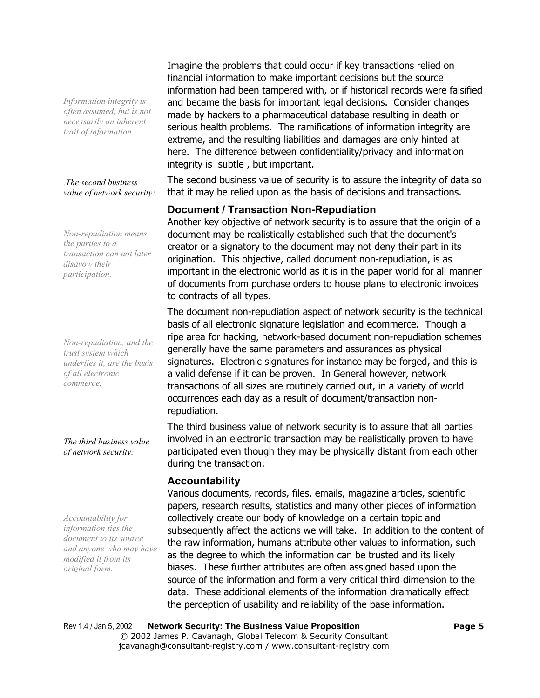*Information integrity is often assumed, but is not necessarily an inherent trait of information.*

*.The second business value of network security:*

*Non-repudiation means the parties to a transaction can not later disavow their participation.*

*Non-repudiation, and the trust system which underlies it, are the basis of all electronic commerce.*

*The third business value of network security:*

*Accountability for information ties the document to its source and anyone who may have modified it from its original form.*

Imagine the problems that could occur if key transactions relied on financial information to make important decisions but the source information had been tampered with, or if historical records were falsified and became the basis for important legal decisions. Consider changes made by hackers to a pharmaceutical database resulting in death or serious health problems. The ramifications of information integrity are extreme, and the resulting liabilities and damages are only hinted at here. The difference between confidentiality/privacy and information integrity is subtle , but important.

The second business value of security is to assure the integrity of data so that it may be relied upon as the basis of decisions and transactions.

### <span id="page-8-0"></span>**Document / Transaction Non-Repudiation**

Another key objective of network security is to assure that the origin of a document may be realistically established such that the document's creator or a signatory to the document may not deny their part in its origination. This objective, called document non-repudiation, is as important in the electronic world as it is in the paper world for all manner of documents from purchase orders to house plans to electronic invoices to contracts of all types.

The document non-repudiation aspect of network security is the technical basis of all electronic signature legislation and ecommerce. Though a ripe area for hacking, network-based document non-repudiation schemes generally have the same parameters and assurances as physical signatures. Electronic signatures for instance may be forged, and this is a valid defense if it can be proven. In General however, network transactions of all sizes are routinely carried out, in a variety of world occurrences each day as a result of document/transaction nonrepudiation.

The third business value of network security is to assure that all parties involved in an electronic transaction may be realistically proven to have participated even though they may be physically distant from each other during the transaction.

#### <span id="page-8-1"></span>**Accountability**

Various documents, records, files, emails, magazine articles, scientific papers, research results, statistics and many other pieces of information collectively create our body of knowledge on a certain topic and subsequently affect the actions we will take. In addition to the content of the raw information, humans attribute other values to information, such as the degree to which the information can be trusted and its likely biases. These further attributes are often assigned based upon the source of the information and form a very critical third dimension to the data. These additional elements of the information dramatically effect the perception of usability and reliability of the base information.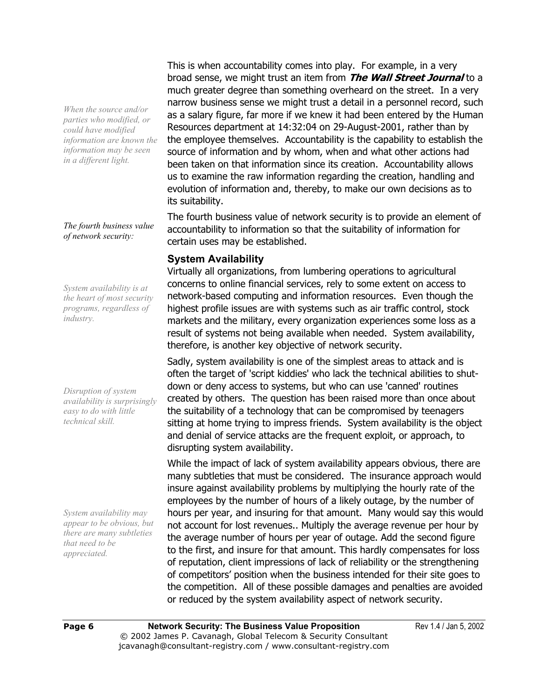*When the source and/or parties who modified, or could have modified information are known the information may be seen in a different light.*

*The fourth business value of network security:*

*System availability is at the heart of most security programs, regardless of industry.*

*Disruption of system availability is surprisingly easy to do with little technical skill.*

*System availability may appear to be obvious, but there are many subtleties that need to be appreciated.*

This is when accountability comes into play. For example, in a very broad sense, we might trust an item from **The Wall Street Journal** to a much greater degree than something overheard on the street. In a very narrow business sense we might trust a detail in a personnel record, such as a salary figure, far more if we knew it had been entered by the Human Resources department at 14:32:04 on 29-August-2001, rather than by the employee themselves. Accountability is the capability to establish the source of information and by whom, when and what other actions had been taken on that information since its creation. Accountability allows us to examine the raw information regarding the creation, handling and evolution of information and, thereby, to make our own decisions as to its suitability.

The fourth business value of network security is to provide an element of accountability to information so that the suitability of information for certain uses may be established.

#### <span id="page-9-0"></span>**System Availability**

Virtually all organizations, from lumbering operations to agricultural concerns to online financial services, rely to some extent on access to network-based computing and information resources. Even though the highest profile issues are with systems such as air traffic control, stock markets and the military, every organization experiences some loss as a result of systems not being available when needed. System availability, therefore, is another key objective of network security.

Sadly, system availability is one of the simplest areas to attack and is often the target of 'script kiddies' who lack the technical abilities to shutdown or deny access to systems, but who can use 'canned' routines created by others. The question has been raised more than once about the suitability of a technology that can be compromised by teenagers sitting at home trying to impress friends. System availability is the object and denial of service attacks are the frequent exploit, or approach, to disrupting system availability.

While the impact of lack of system availability appears obvious, there are many subtleties that must be considered. The insurance approach would insure against availability problems by multiplying the hourly rate of the employees by the number of hours of a likely outage, by the number of hours per year, and insuring for that amount. Many would say this would not account for lost revenues.. Multiply the average revenue per hour by the average number of hours per year of outage. Add the second figure to the first, and insure for that amount. This hardly compensates for loss of reputation, client impressions of lack of reliability or the strengthening of competitors' position when the business intended for their site goes to the competition. All of these possible damages and penalties are avoided or reduced by the system availability aspect of network security.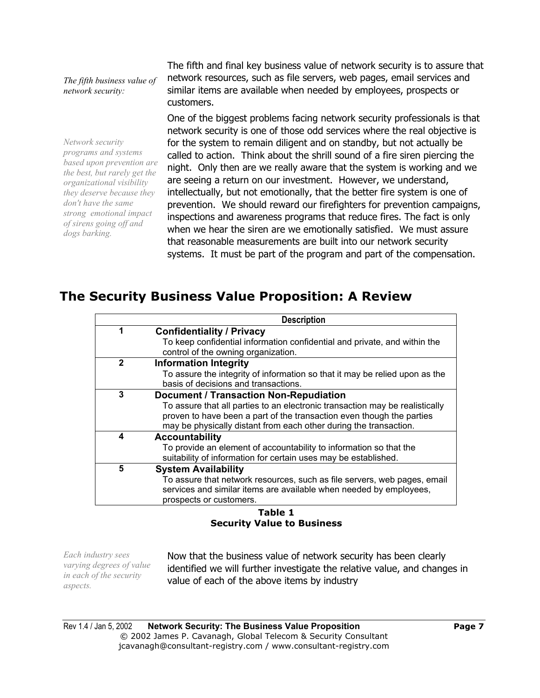#### *The fifth business value of network security:*

*Network security programs and systems based upon prevention are the best, but rarely get the organizational visibility they deserve because they don't have the same strong emotional impact of sirens going off and dogs barking.*

The fifth and final key business value of network security is to assure that network resources, such as file servers, web pages, email services and similar items are available when needed by employees, prospects or customers.

One of the biggest problems facing network security professionals is that network security is one of those odd services where the real objective is for the system to remain diligent and on standby, but not actually be called to action. Think about the shrill sound of a fire siren piercing the night. Only then are we really aware that the system is working and we are seeing a return on our investment. However, we understand, intellectually, but not emotionally, that the better fire system is one of prevention. We should reward our firefighters for prevention campaigns, inspections and awareness programs that reduce fires. The fact is only when we hear the siren are we emotionally satisfied. We must assure that reasonable measurements are built into our network security systems. It must be part of the program and part of the compensation.

### <span id="page-10-0"></span>**The Security Business Value Proposition: A Review**

|             | <b>Description</b>                                                           |  |  |  |  |  |  |
|-------------|------------------------------------------------------------------------------|--|--|--|--|--|--|
| 1           | <b>Confidentiality / Privacy</b>                                             |  |  |  |  |  |  |
|             | To keep confidential information confidential and private, and within the    |  |  |  |  |  |  |
|             | control of the owning organization.                                          |  |  |  |  |  |  |
| $\mathbf 2$ | <b>Information Integrity</b>                                                 |  |  |  |  |  |  |
|             | To assure the integrity of information so that it may be relied upon as the  |  |  |  |  |  |  |
|             | basis of decisions and transactions.                                         |  |  |  |  |  |  |
| 3           | <b>Document / Transaction Non-Repudiation</b>                                |  |  |  |  |  |  |
|             | To assure that all parties to an electronic transaction may be realistically |  |  |  |  |  |  |
|             | proven to have been a part of the transaction even though the parties        |  |  |  |  |  |  |
|             | may be physically distant from each other during the transaction.            |  |  |  |  |  |  |
| 4           | <b>Accountability</b>                                                        |  |  |  |  |  |  |
|             | To provide an element of accountability to information so that the           |  |  |  |  |  |  |
|             | suitability of information for certain uses may be established.              |  |  |  |  |  |  |
| 5           | <b>System Availability</b>                                                   |  |  |  |  |  |  |
|             | To assure that network resources, such as file servers, web pages, email     |  |  |  |  |  |  |
|             | services and similar items are available when needed by employees,           |  |  |  |  |  |  |
|             | prospects or customers.                                                      |  |  |  |  |  |  |

#### **Table 1 Security Value to Business**

*Each industry sees varying degrees of value in each of the security aspects.*

Now that the business value of network security has been clearly identified we will further investigate the relative value, and changes in value of each of the above items by industry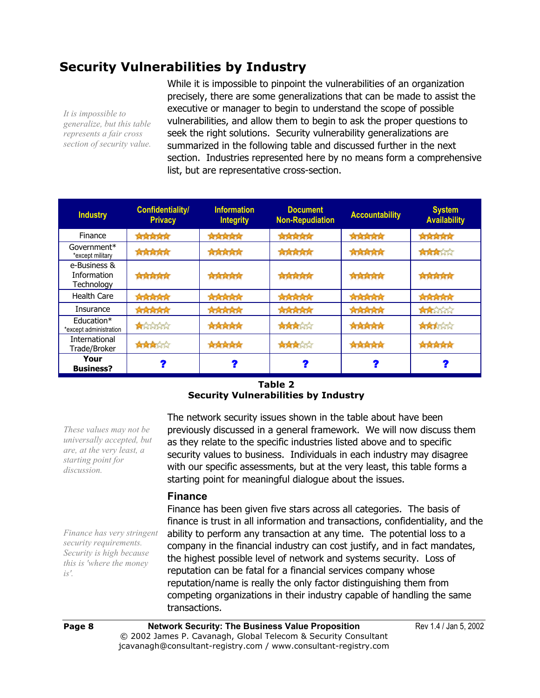## <span id="page-11-0"></span>**Security Vulnerabilities by Industry**

*It is impossible to generalize, but this table represents a fair cross section of security value.* While it is impossible to pinpoint the vulnerabilities of an organization precisely, there are some generalizations that can be made to assist the executive or manager to begin to understand the scope of possible vulnerabilities, and allow them to begin to ask the proper questions to seek the right solutions. Security vulnerability generalizations are summarized in the following table and discussed further in the next section. Industries represented here by no means form a comprehensive list, but are representative cross-section.

| <b>Industry</b>                                  | <b>Confidentiality/</b><br><b>Privacy</b> | <b>Information</b><br><b>Integrity</b> | <b>Document</b><br><b>Non-Repudiation</b> | <b>Accountability</b> | <b>System</b><br><b>Availability</b> |
|--------------------------------------------------|-------------------------------------------|----------------------------------------|-------------------------------------------|-----------------------|--------------------------------------|
| Finance                                          | <b>Adolesia</b>                           | *****                                  | *****                                     | *****                 | *****                                |
| Government*<br>*except military                  | *****                                     | *****                                  | *****                                     | *****                 | 大大大公                                 |
| e-Business &<br><b>Information</b><br>Technology | *****                                     | *****                                  | *****                                     | *****                 | *****                                |
| <b>Health Care</b>                               | *****                                     | *****                                  | *****                                     | *****                 | *****                                |
| Insurance                                        | <b>Adolesia</b>                           | <b>Adolphia</b>                        | <b>Adolphia</b>                           | *****                 | $\bigstar$ $\bigstar$ $\bigstar$     |
| Education*<br>*except administration             | $\bigstar$                                | *****                                  | *****                                     | *****                 | ******                               |
| <b>International</b><br>Trade/Broker             | *****                                     | *****                                  | *****                                     | *****                 | *****                                |
| Your<br><b>Business?</b>                         | 7                                         |                                        | 7                                         | 7                     |                                      |

#### **Table 2 Security Vulnerabilities by Industry**

*These values may not be universally accepted, but are, at the very least, a starting point for discussion.*

The network security issues shown in the table about have been previously discussed in a general framework. We will now discuss them as they relate to the specific industries listed above and to specific security values to business. Individuals in each industry may disagree with our specific assessments, but at the very least, this table forms a starting point for meaningful dialogue about the issues.

#### <span id="page-11-1"></span>**Finance**

Finance has been given five stars across all categories. The basis of finance is trust in all information and transactions, confidentiality, and the ability to perform any transaction at any time. The potential loss to a company in the financial industry can cost justify, and in fact mandates, the highest possible level of network and systems security. Loss of reputation can be fatal for a financial services company whose reputation/name is really the only factor distinguishing them from competing organizations in their industry capable of handling the same transactions.

*Finance has very stringent security requirements. Security is high because this is 'where the money is'.*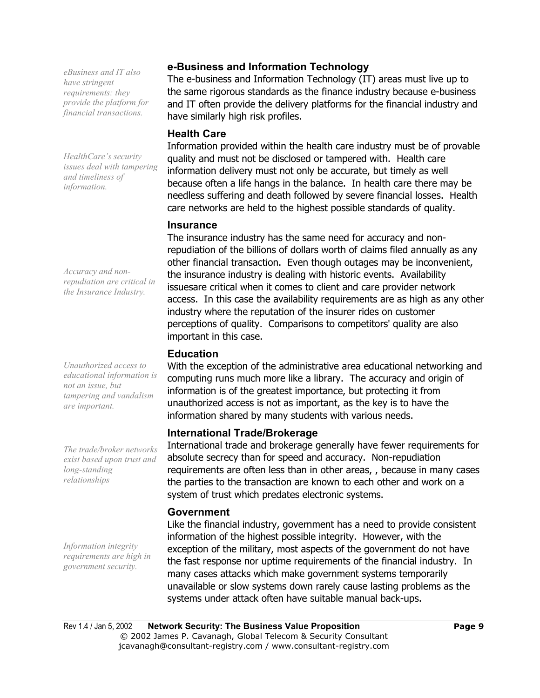*eBusiness and IT also have stringent requirements: they provide the platform for financial transactions.*

*HealthCare's security issues deal with tampering and timeliness of information.*

*Accuracy and nonrepudiation are critical in the Insurance Industry.*

*Unauthorized access to educational information is not an issue, but tampering and vandalism are important.*

*The trade/broker networks exist based upon trust and long-standing relationships*

*Information integrity requirements are high in government security.*

### <span id="page-12-0"></span>**e-Business and Information Technology**

The e-business and Information Technology (IT) areas must live up to the same rigorous standards as the finance industry because e-business and IT often provide the delivery platforms for the financial industry and have similarly high risk profiles.

### <span id="page-12-1"></span>**Health Care**

Information provided within the health care industry must be of provable quality and must not be disclosed or tampered with. Health care information delivery must not only be accurate, but timely as well because often a life hangs in the balance. In health care there may be needless suffering and death followed by severe financial losses. Health care networks are held to the highest possible standards of quality.

### <span id="page-12-2"></span>**Insurance**

The insurance industry has the same need for accuracy and nonrepudiation of the billions of dollars worth of claims filed annually as any other financial transaction. Even though outages may be inconvenient, the insurance industry is dealing with historic events. Availability issuesare critical when it comes to client and care provider network access. In this case the availability requirements are as high as any other industry where the reputation of the insurer rides on customer perceptions of quality. Comparisons to competitors' quality are also important in this case.

### <span id="page-12-3"></span>**Education**

With the exception of the administrative area educational networking and computing runs much more like a library. The accuracy and origin of information is of the greatest importance, but protecting it from unauthorized access is not as important, as the key is to have the information shared by many students with various needs.

### <span id="page-12-4"></span>**International Trade/Brokerage**

International trade and brokerage generally have fewer requirements for absolute secrecy than for speed and accuracy. Non-repudiation requirements are often less than in other areas, , because in many cases the parties to the transaction are known to each other and work on a system of trust which predates electronic systems.

### <span id="page-12-5"></span>**Government**

Like the financial industry, government has a need to provide consistent information of the highest possible integrity. However, with the exception of the military, most aspects of the government do not have the fast response nor uptime requirements of the financial industry. In many cases attacks which make government systems temporarily unavailable or slow systems down rarely cause lasting problems as the systems under attack often have suitable manual back-ups.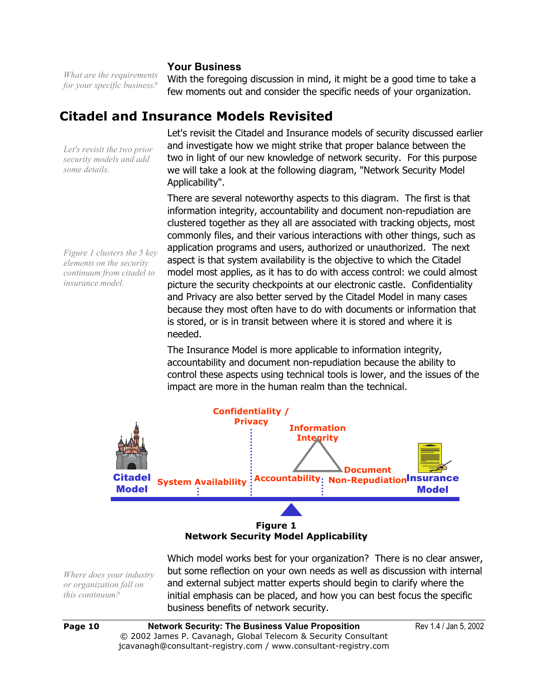#### <span id="page-13-0"></span>**Your Business**

*What are the requirements for your specific business?*

With the foregoing discussion in mind, it might be a good time to take a few moments out and consider the specific needs of your organization.

### <span id="page-13-1"></span>**Citadel and Insurance Models Revisited**

*Let's revisit the two prior security models and add some details.*

Let's revisit the Citadel and Insurance models of security discussed earlier and investigate how we might strike that proper balance between the two in light of our new knowledge of network security. For this purpose we will take a look at the following diagram, "Network Security Model Applicability".

There are several noteworthy aspects to this diagram. The first is that information integrity, accountability and document non-repudiation are clustered together as they all are associated with tracking objects, most commonly files, and their various interactions with other things, such as application programs and users, authorized or unauthorized. The next aspect is that system availability is the objective to which the Citadel model most applies, as it has to do with access control: we could almost picture the security checkpoints at our electronic castle. Confidentiality and Privacy are also better served by the Citadel Model in many cases because they most often have to do with documents or information that is stored, or is in transit between where it is stored and where it is needed.

The Insurance Model is more applicable to information integrity, accountability and document non-repudiation because the ability to control these aspects using technical tools is lower, and the issues of the impact are more in the human realm than the technical.



#### **Figure 1 Network Security Model Applicability**

*Where does your industry or organization fall on this continuum?*

Which model works best for your organization? There is no clear answer, but some reflection on your own needs as well as discussion with internal and external subject matter experts should begin to clarify where the initial emphasis can be placed, and how you can best focus the specific business benefits of network security.

**Page 10 Network Security: The Business Value Proposition** Rev 1.4 / Jan 5, 2002 © 2002 James P. Cavanagh, Global Telecom & Security Consultant jcavanagh@consultant-registry.com / www.consultant-registry.com

*Figure 1 clusters the 5 key elements on the security continuum from citadel to insurance model.*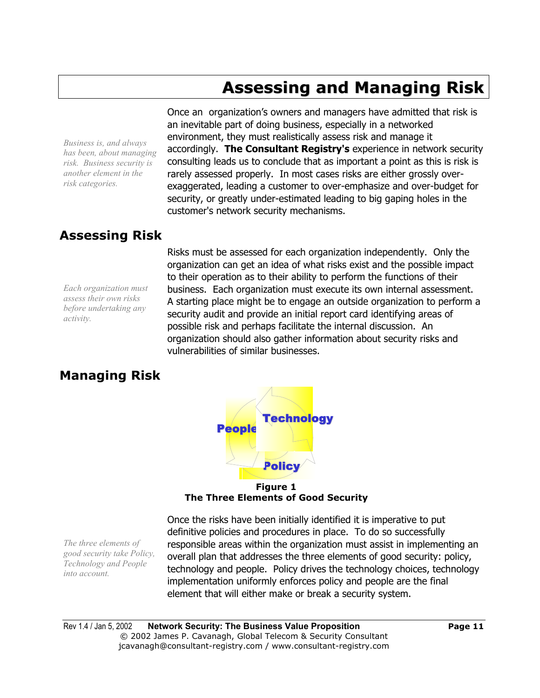# <span id="page-14-0"></span>**Assessing and Managing Risk**

*Business is, and always has been, about managing risk. Business security is another element in the risk categories.*

Once an organization's owners and managers have admitted that risk is an inevitable part of doing business, especially in a networked environment, they must realistically assess risk and manage it accordingly. **The Consultant Registry's** experience in network security consulting leads us to conclude that as important a point as this is risk is rarely assessed properly. In most cases risks are either grossly overexaggerated, leading a customer to over-emphasize and over-budget for security, or greatly under-estimated leading to big gaping holes in the customer's network security mechanisms.

## <span id="page-14-1"></span>**Assessing Risk**

*Each organization must assess their own risks before undertaking any activity.*

Risks must be assessed for each organization independently. Only the organization can get an idea of what risks exist and the possible impact to their operation as to their ability to perform the functions of their business. Each organization must execute its own internal assessment. A starting place might be to engage an outside organization to perform a security audit and provide an initial report card identifying areas of possible risk and perhaps facilitate the internal discussion. An organization should also gather information about security risks and vulnerabilities of similar businesses.

### <span id="page-14-2"></span>**Managing Risk**

*The three elements of good security take Policy, Technology and People*

*into account.*



**Figure 1 The Three Elements of Good Security**

Once the risks have been initially identified it is imperative to put definitive policies and procedures in place. To do so successfully responsible areas within the organization must assist in implementing an overall plan that addresses the three elements of good security: policy, technology and people. Policy drives the technology choices, technology implementation uniformly enforces policy and people are the final element that will either make or break a security system.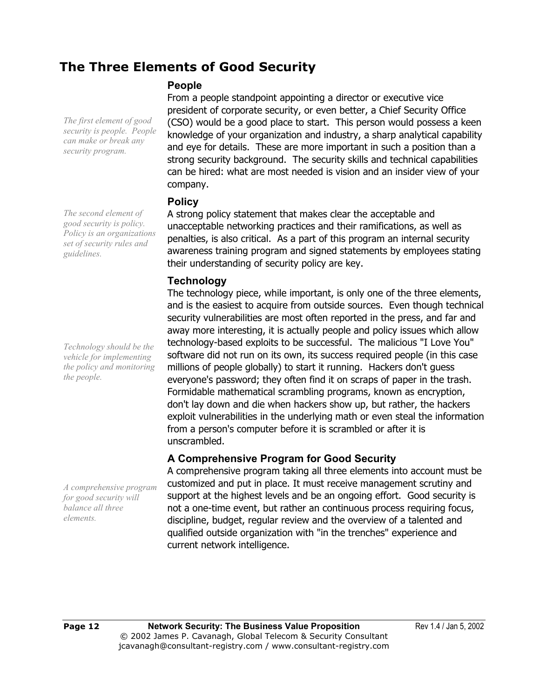## <span id="page-15-0"></span>**The Three Elements of Good Security**

### <span id="page-15-1"></span>**People**

*The first element of good security is people. People can make or break any security program.*

*The second element of good security is policy. Policy is an organizations set of security rules and guidelines.*

*Technology should be the vehicle for implementing the policy and monitoring the people.*

*A comprehensive program for good security will balance all three elements.*

president of corporate security, or even better, a Chief Security Office (CSO) would be a good place to start. This person would possess a keen knowledge of your organization and industry, a sharp analytical capability and eye for details. These are more important in such a position than a strong security background. The security skills and technical capabilities can be hired: what are most needed is vision and an insider view of your company.

From a people standpoint appointing a director or executive vice

### <span id="page-15-2"></span>**Policy**

A strong policy statement that makes clear the acceptable and unacceptable networking practices and their ramifications, as well as penalties, is also critical. As a part of this program an internal security awareness training program and signed statements by employees stating their understanding of security policy are key.

### <span id="page-15-3"></span>**Technology**

The technology piece, while important, is only one of the three elements, and is the easiest to acquire from outside sources. Even though technical security vulnerabilities are most often reported in the press, and far and away more interesting, it is actually people and policy issues which allow technology-based exploits to be successful. The malicious "I Love You" software did not run on its own, its success required people (in this case millions of people globally) to start it running. Hackers don't guess everyone's password; they often find it on scraps of paper in the trash. Formidable mathematical scrambling programs, known as encryption, don't lay down and die when hackers show up, but rather, the hackers exploit vulnerabilities in the underlying math or even steal the information from a person's computer before it is scrambled or after it is unscrambled.

### <span id="page-15-4"></span>**A Comprehensive Program for Good Security**

A comprehensive program taking all three elements into account must be customized and put in place. It must receive management scrutiny and support at the highest levels and be an ongoing effort. Good security is not a one-time event, but rather an continuous process requiring focus, discipline, budget, regular review and the overview of a talented and qualified outside organization with "in the trenches" experience and current network intelligence.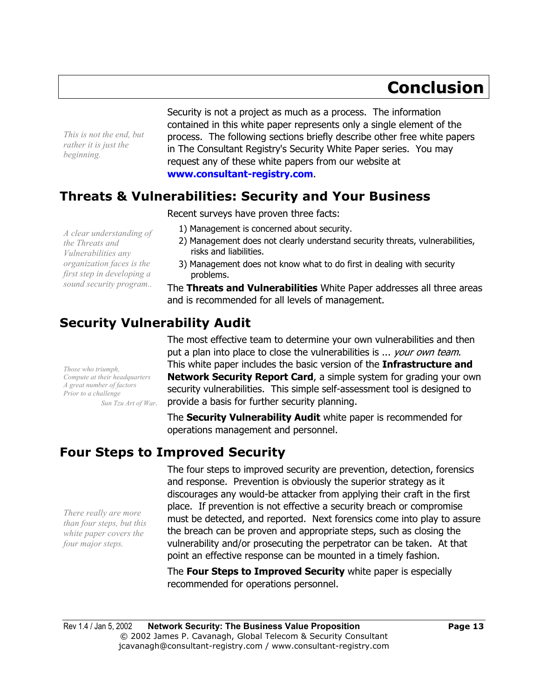# <span id="page-16-0"></span>**Conclusion**

*This is not the end, but rather it is just the beginning.*

*A clear understanding of*

*the Threats and Vulnerabilities any organization faces is the first step in developing a sound security program..* Security is not a project as much as a process. The information contained in this white paper represents only a single element of the process. The following sections briefly describe other free white papers in The Consultant Registry's Security White Paper series. You may request any of these white papers from our website at **www.consultant-registry.com**.

# <span id="page-16-1"></span>**Threats & Vulnerabilities: Security and Your Business**

Recent surveys have proven three facts:

- 1) Management is concerned about security.
- 2) Management does not clearly understand security threats, vulnerabilities, risks and liabilities.
- 3) Management does not know what to do first in dealing with security problems.

The **Threats and Vulnerabilities** White Paper addresses all three areas and is recommended for all levels of management.

# <span id="page-16-2"></span>**Security Vulnerability Audit**

*Those who triumph, Compute at their headquarters A great number of factors Prior to a challenge Sun Tzu Art of War.*

*There really are more than four steps, but this white paper covers the four major steps.*

The most effective team to determine your own vulnerabilities and then put a plan into place to close the vulnerabilities is ... your own team. This white paper includes the basic version of the **Infrastructure and Network Security Report Card**, a simple system for grading your own security vulnerabilities. This simple self-assessment tool is designed to provide a basis for further security planning.

The **Security Vulnerability Audit** white paper is recommended for operations management and personnel.

# <span id="page-16-3"></span>**Four Steps to Improved Security**

The four steps to improved security are prevention, detection, forensics and response. Prevention is obviously the superior strategy as it discourages any would-be attacker from applying their craft in the first place. If prevention is not effective a security breach or compromise must be detected, and reported. Next forensics come into play to assure the breach can be proven and appropriate steps, such as closing the vulnerability and/or prosecuting the perpetrator can be taken. At that point an effective response can be mounted in a timely fashion.

The **Four Steps to Improved Security** white paper is especially recommended for operations personnel.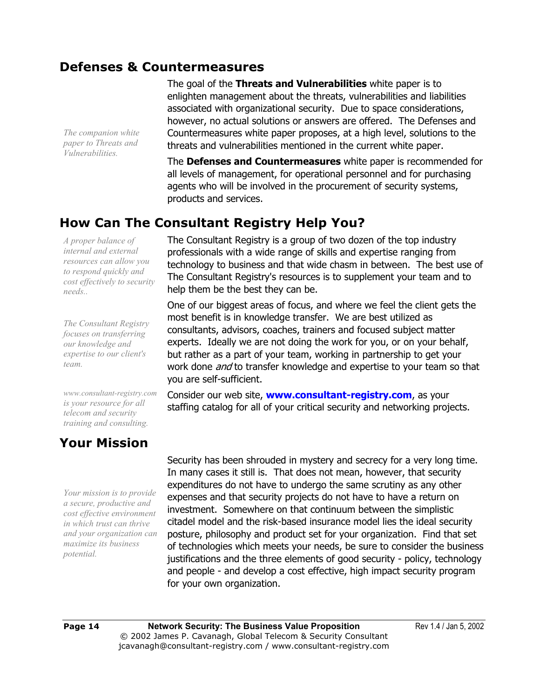### <span id="page-17-0"></span>**Defenses & Countermeasures**

*The companion white paper to Threats and Vulnerabilities.*

The goal of the **Threats and Vulnerabilities** white paper is to enlighten management about the threats, vulnerabilities and liabilities associated with organizational security. Due to space considerations, however, no actual solutions or answers are offered. The Defenses and Countermeasures white paper proposes, at a high level, solutions to the threats and vulnerabilities mentioned in the current white paper.

The **Defenses and Countermeasures** white paper is recommended for all levels of management, for operational personnel and for purchasing agents who will be involved in the procurement of security systems, products and services.

## <span id="page-17-1"></span>**How Can The Consultant Registry Help You?**

*A proper balance of internal and external resources can allow you to respond quickly and cost effectively to security needs..*

*The Consultant Registry focuses on transferring our knowledge and expertise to our client's team.*

*www.consultant-registry.com is your resource for all telecom and security training and consulting.*

## <span id="page-17-2"></span>**Your Mission**

*Your mission is to provide a secure, productive and cost effective environment in which trust can thrive and your organization can maximize its business potential.*

The Consultant Registry is a group of two dozen of the top industry professionals with a wide range of skills and expertise ranging from technology to business and that wide chasm in between. The best use of The Consultant Registry's resources is to supplement your team and to help them be the best they can be.

One of our biggest areas of focus, and where we feel the client gets the most benefit is in knowledge transfer. We are best utilized as consultants, advisors, coaches, trainers and focused subject matter experts. Ideally we are not doing the work for you, or on your behalf, but rather as a part of your team, working in partnership to get your work done *and* to transfer knowledge and expertise to your team so that you are self-sufficient.

Consider our web site, **www.consultant-registry.com**, as your staffing catalog for all of your critical security and networking projects.

Security has been shrouded in mystery and secrecy for a very long time. In many cases it still is. That does not mean, however, that security expenditures do not have to undergo the same scrutiny as any other expenses and that security projects do not have to have a return on investment. Somewhere on that continuum between the simplistic citadel model and the risk-based insurance model lies the ideal security posture, philosophy and product set for your organization. Find that set of technologies which meets your needs, be sure to consider the business justifications and the three elements of good security - policy, technology and people - and develop a cost effective, high impact security program for your own organization.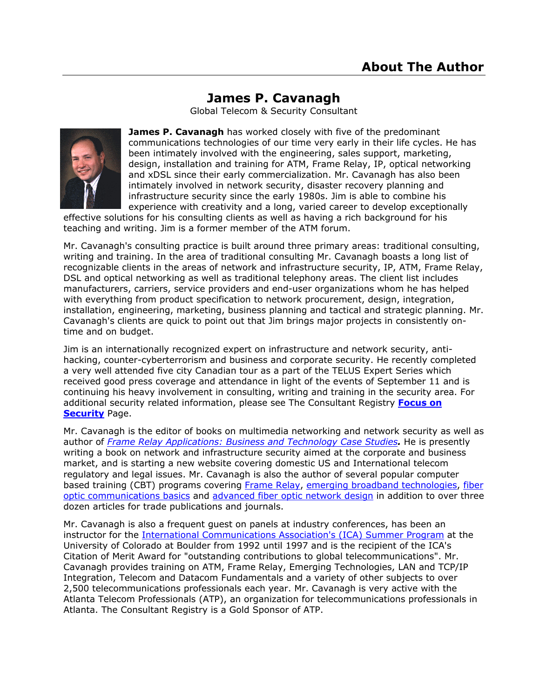# **James P. Cavanagh**

Global Telecom & Security Consultant



**James P. Cavanagh** has worked closely with five of the predominant communications technologies of our time very early in their life cycles. He has been intimately involved with the engineering, sales support, marketing, design, installation and training for ATM, Frame Relay, IP, optical networking and xDSL since their early commercialization. Mr. Cavanagh has also been intimately involved in network security, disaster recovery planning and infrastructure security since the early 1980s. Jim is able to combine his experience with creativity and a long, varied career to develop exceptionally

effective solutions for his consulting clients as well as having a rich background for his teaching and writing. Jim is a former member of the ATM forum.

Mr. Cavanagh's consulting practice is built around three primary areas: traditional consulting, writing and training. In the area of traditional consulting Mr. Cavanagh boasts a long list of recognizable clients in the areas of network and infrastructure security, IP, ATM, Frame Relay, DSL and optical networking as well as traditional telephony areas. The client list includes manufacturers, carriers, service providers and end-user organizations whom he has helped with everything from product specification to network procurement, design, integration, installation, engineering, marketing, business planning and tactical and strategic planning. Mr. Cavanagh's clients are quick to point out that Jim brings major projects in consistently ontime and on budget.

Jim is an internationally recognized expert on infrastructure and network security, antihacking, counter-cyberterrorism and business and corporate security. He recently completed a very well attended five city Canadian tour as a part of the TELUS Expert Series which received good press coverage and attendance in light of the events of September 11 and is continuing his heavy involvement in consulting, writing and training in the security area. For additional security related information, please see The Consultant Registry **Focus on Security** Page.

Mr. Cavanagh is the editor of books on multimedia networking and network security as well as author of *[Frame Relay Applications: Business and Technology Case Studies](http://www.amazon.com/exec/obidos/ASIN/1558603999/o/002-1287411-5325018/theconsulregstr).* He is presently writing a book on network and infrastructure security aimed at the corporate and business market, and is starting a new website covering domestic US and International telecom regulatory and legal issues. Mr. Cavanagh is also the author of several popular computer based training (CBT) programs covering [Frame Relay,](http://www.teletutor.com/frelay.html) [emerging broadband technologies,](http://www.teletutor.com/ent.html) [fiber](http://www.teletutor.com/fiber1.html) [optic communications basics](http://www.teletutor.com/fiber1.html) and [advanced fiber optic network design](http://www.teletutor.com/fiber2.html) in addition to over three dozen articles for trade publications and journals.

Mr. Cavanagh is also a frequent guest on panels at industry conferences, has been an instructor for the [International Communications Association's \(ICA\) Summer Program](http://www.icanet.com/summerprogram/) at the University of Colorado at Boulder from 1992 until 1997 and is the recipient of the ICA's Citation of Merit Award for "outstanding contributions to global telecommunications". Mr. Cavanagh provides training on ATM, Frame Relay, Emerging Technologies, LAN and TCP/IP Integration, Telecom and Datacom Fundamentals and a variety of other subjects to over 2,500 telecommunications professionals each year. Mr. Cavanagh is very active with the Atlanta Telecom Professionals (ATP), an organization for telecommunications professionals in Atlanta. The Consultant Registry is a Gold Sponsor of ATP.